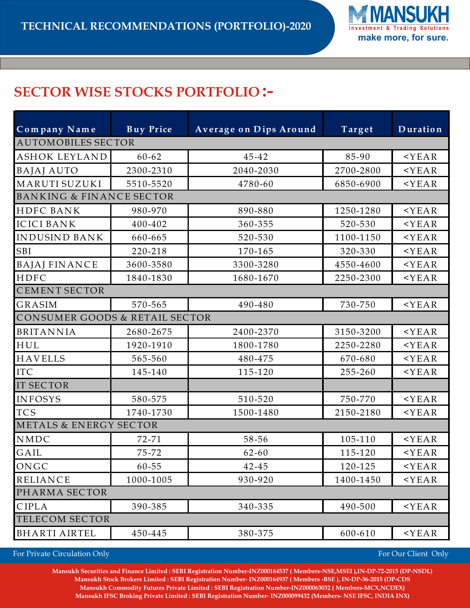

## **SECTOR WISE STOCKS PORTFOLIO :-**

| Company Name                        | <b>Buy Price</b> | <b>Average on Dips Around</b> | Target    | Duration |  |
|-------------------------------------|------------------|-------------------------------|-----------|----------|--|
| <b>AUTOMOBILES SECTOR</b>           |                  |                               |           |          |  |
| <b>ASHOK LEYLAND</b>                | $60 - 62$        | 45-42                         | 85-90     | $<$ YEAR |  |
| <b>BAJAJ AUTO</b>                   | 2300-2310        | 2040-2030                     | 2700-2800 | $<$ YEAR |  |
| MARUTI SUZUKI                       | 5510-5520        | 4780-60                       | 6850-6900 | $<$ YEAR |  |
| <b>BANKING &amp; FINANCE SECTOR</b> |                  |                               |           |          |  |
| HDFC BANK                           | 980-970          | 890-880                       | 1250-1280 | $<$ YEAR |  |
| <b>ICICI BANK</b>                   | 400-402          | 360-355                       | 520-530   | $<$ YEAR |  |
| INDUSIND BANK                       | 660-665          | 520-530                       | 1100-1150 | $<$ YEAR |  |
| SBI                                 | 220-218          | 170-165                       | 320-330   | $<$ YEAR |  |
| <b>BAJAJ FINANCE</b>                | 3600-3580        | 3300-3280                     | 4550-4600 | $<$ YEAR |  |
| HDFC                                | 1840-1830        | 1680-1670                     | 2250-2300 | $<$ YEAR |  |
| <b>CEMENT SECTOR</b>                |                  |                               |           |          |  |
| <b>GRASIM</b>                       | 570-565          | 490-480                       | 730-750   | $<$ YEAR |  |
| CONSUMER GOODS & RETAIL SECTOR      |                  |                               |           |          |  |
| <b>BRITANNIA</b>                    | 2680-2675        | 2400-2370                     | 3150-3200 | $<$ YEAR |  |
| HUL                                 | 1920-1910        | 1800-1780                     | 2250-2280 | $<$ YEAR |  |
| <b>HAVELLS</b>                      | 565-560          | 480-475                       | 670-680   | $<$ YEAR |  |
| <b>ITC</b>                          | 145-140          | 115-120                       | 255-260   | $<$ YEAR |  |
| <b>IT SECTOR</b>                    |                  |                               |           |          |  |
| <b>INFOSYS</b>                      | 580-575          | 510-520                       | 750-770   | $<$ YEAR |  |
| <b>TCS</b>                          | 1740-1730        | 1500-1480                     | 2150-2180 | $<$ YEAR |  |
| <b>METALS &amp; ENERGY SECTOR</b>   |                  |                               |           |          |  |
| NMDC                                | $72 - 71$        | 58-56                         | 105-110   | $<$ YEAR |  |
| GAIL                                | $75 - 72$        | $62 - 60$                     | 115-120   | $<$ YEAR |  |
| ONGC                                | 60-55            | 42-45                         | 120-125   | $<$ YEAR |  |
| <b>RELIANCE</b>                     | 1000-1005        | 930-920                       | 1400-1450 | $<$ YEAR |  |
| PHARMA SECTOR                       |                  |                               |           |          |  |
| CIPLA                               | 390-385          | 340-335                       | 490-500   | $<$ YEAR |  |
| TELECOM SECTOR                      |                  |                               |           |          |  |
| <b>BHARTI AIRTEL</b>                | 450-445          | 380-375                       | 600-610   | $<$ YEAR |  |

For Private Circulation Only **For Our Client Only For Our Client Only For Our Client Only** 

Mansukh Securities and Finance Limited : SEBI Registration Number-INZ000164537 ( Members-NSE,MSEI ),IN-DP-72-2015 (DP-NSDL) Mansukh Stock Brokers Limited : SEBI Registration Number- INZ000164937 (Members -BSE), IN-DP-36-2015 (DP-CDS  **Mansukh Commodity Futures Private Limited : SEBI Registration Number-INZ000063032 ( Members-MCX,NCDEX) Mansukh IFSC Broking Private Limited : SEBI Registration Number- INZ000099432 (Members- NSE IFSC, INDIA INX)**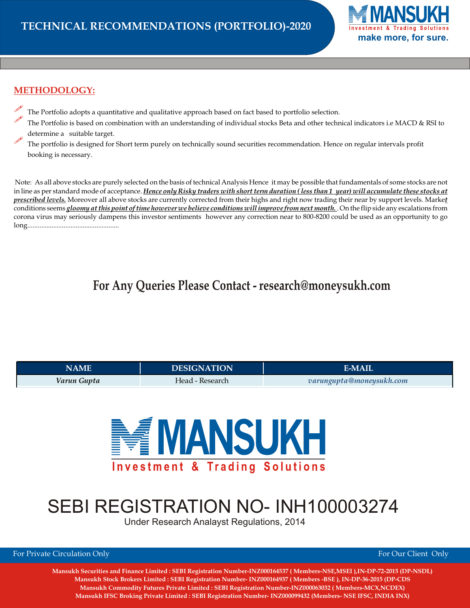

### **METHODOLOGY:**

- The Portfolio adopts a quantitative and qualitative approach based on fact based to portfolio selection.
- The Portfolio is based on combination with an understanding of individual stocks Beta and other technical indicators i.e MACD & RSI to determine a suitable target.
- The portfolio is designed for Short term purely on technically sound securities recommendation. Hence on regular intervals profit booking is necessary.

Note: As all above stocks are purely selected on the basis of technical Analysis Hence it may be possible that fundamentals of some stocks are not in line as per standard mode of acceptance. *Hence only Risky traders with short term duration ( less than 1 year) will accumulate these stocks at prescribed levels.* Moreover all above stocks are currently corrected from their highs and right now trading their near by support levels. Marke*t* conditions seems *gloomy at this point of time however we believe conditions will improve from next month.* . On the flip side any escalations from corona virus may seriously dampens this investor sentiments however any correction near to 800-8200 could be used as an opportunity to go long.....................................................

## **For Any Queries Please Contact - research@moneysukh.com**

| NAME        | <b>DESIGNATION</b> | E-MAIL                   |
|-------------|--------------------|--------------------------|
| Varun Gupta | Head - Research    | varungupta@moneysukh.com |



# SEBI REGISTRATION NO- INH100003274

Under Research Analayst Regulations, 2014

For Private Circulation Only **For Our Client Only For Our Client Only For Our Client Only** 

**Mansukh Securities and Finance Limited : SEBI Registration Number-INZ000164537 ( Members-NSE,MSEI ),IN-DP-72-2015 (DP-NSDL) Mansukh Stock Brokers Limited : SEBI Registration Number- INZ000164937 ( Members -BSE ), IN-DP-36-2015 (DP-CDS Mansukh Commodity Futures Private Limited : SEBI Registration Number-INZ000063032 ( Members-MCX,NCDEX) Mansukh IFSC Broking Private Limited : SEBI Registration Number- INZ000099432 (Members- NSE IFSC, INDIA INX)**